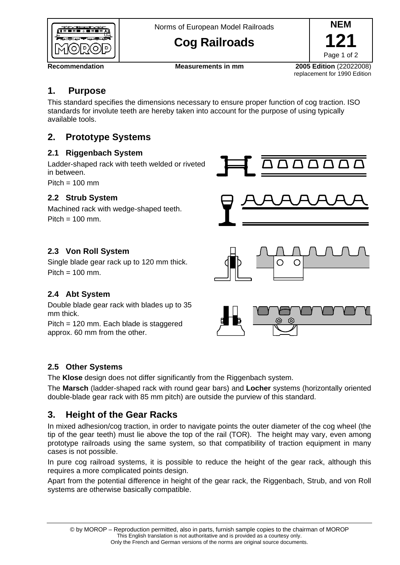

Norms of European Model Railroads

# **Cog Railroads**



**Recommendation Measurements in mm 2005 Edition** (22022008) replacement for 1990 Edition

3 O C

 $\bigcirc$ 

∩

## **1. Purpose**

This standard specifies the dimensions necessary to ensure proper function of cog traction. ISO standards for involute teeth are hereby taken into account for the purpose of using typically available tools.

# **2. Prototype Systems**

#### **2.1 Riggenbach System**

Ladder-shaped rack with teeth welded or riveted in between.

Pitch  $= 100$  mm

### **2.2 Strub System**

Machined rack with wedge-shaped teeth. Pitch  $= 100$  mm.

### **2.3 Von Roll System**

Single blade gear rack up to 120 mm thick. Pitch =  $100$  mm.

### **2.4 Abt System**

Double blade gear rack with blades up to 35 mm thick.

Pitch = 120 mm. Each blade is staggered approx. 60 mm from the other.



The **Klose** design does not differ significantly from the Riggenbach system.

The **Marsch** (ladder-shaped rack with round gear bars) and **Locher** systems (horizontally oriented double-blade gear rack with 85 mm pitch) are outside the purview of this standard.

## **3. Height of the Gear Racks**

In mixed adhesion/cog traction, in order to navigate points the outer diameter of the cog wheel (the tip of the gear teeth) must lie above the top of the rail (TOR). The height may vary, even among prototype railroads using the same system, so that compatibility of traction equipment in many cases is not possible.

In pure cog railroad systems, it is possible to reduce the height of the gear rack, although this requires a more complicated points design.

Apart from the potential difference in height of the gear rack, the Riggenbach, Strub, and von Roll systems are otherwise basically compatible.